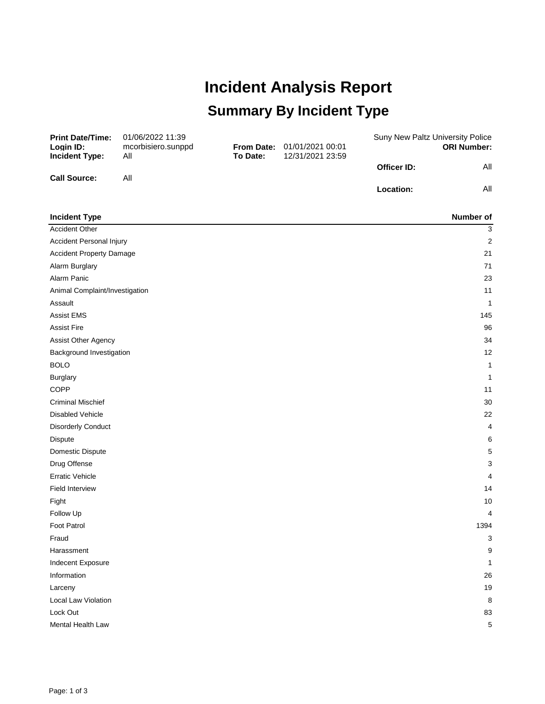## **Incident Analysis Report Summary By Incident Type**

| <b>Print Date/Time:</b><br>Login ID: | 01/06/2022 11:39<br>mcorbisiero.sunppd |                 | <b>From Date: 01/01/2021 00:01</b> | Suny New Paltz University Police | <b>ORI Number:</b> |
|--------------------------------------|----------------------------------------|-----------------|------------------------------------|----------------------------------|--------------------|
| Incident Type:                       | All                                    | <b>To Date:</b> | 12/31/2021 23:59                   |                                  |                    |
|                                      |                                        |                 |                                    | Officer ID:                      | All                |
| <b>Call Source:</b>                  | Αll                                    |                 |                                    |                                  |                    |
|                                      |                                        |                 |                                    | <b>Location:</b>                 | All                |
|                                      |                                        |                 |                                    |                                  |                    |

| <b>Incident Type</b>            | Number of        |
|---------------------------------|------------------|
| <b>Accident Other</b>           | 3                |
| Accident Personal Injury        | $\boldsymbol{2}$ |
| <b>Accident Property Damage</b> | 21               |
| Alarm Burglary                  | 71               |
| Alarm Panic                     | 23               |
| Animal Complaint/Investigation  | 11               |
| Assault                         | 1                |
| <b>Assist EMS</b>               | 145              |
| <b>Assist Fire</b>              | 96               |
| Assist Other Agency             | 34               |
| Background Investigation        | 12               |
| <b>BOLO</b>                     | 1                |
| <b>Burglary</b>                 | $\mathbf{1}$     |
| COPP                            | 11               |
| <b>Criminal Mischief</b>        | 30               |
| <b>Disabled Vehicle</b>         | 22               |
| <b>Disorderly Conduct</b>       | 4                |
| Dispute                         | 6                |
| Domestic Dispute                | 5                |
| Drug Offense                    | 3                |
| <b>Erratic Vehicle</b>          | 4                |
| <b>Field Interview</b>          | 14               |
| Fight                           | 10               |
| Follow Up                       | 4                |
| Foot Patrol                     | 1394             |
| Fraud                           | 3                |
| Harassment                      | 9                |
| Indecent Exposure               | 1                |
| Information                     | 26               |
| Larceny                         | 19               |
| Local Law Violation             | 8                |
| Lock Out                        | 83               |
| Mental Health Law               | 5                |